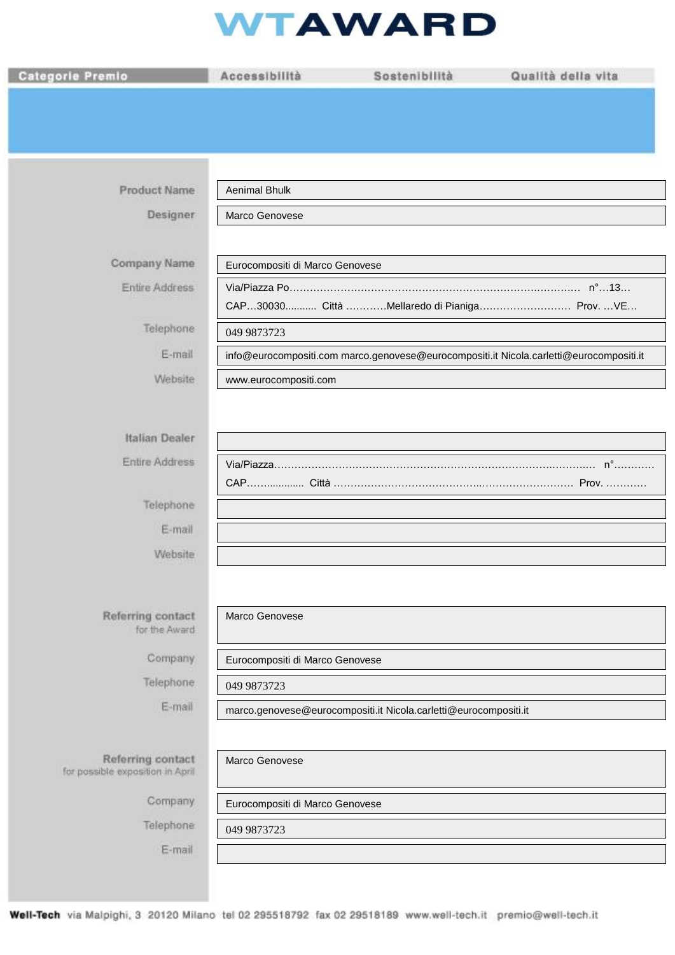## **WTAWARD**

| <b>Categorie Premio</b>                               | Accessibilità                                                                           | Sostenibilità                                                    | Qualità della vita |
|-------------------------------------------------------|-----------------------------------------------------------------------------------------|------------------------------------------------------------------|--------------------|
|                                                       |                                                                                         |                                                                  |                    |
|                                                       |                                                                                         |                                                                  |                    |
|                                                       |                                                                                         |                                                                  |                    |
| <b>Product Name</b>                                   | Aenimal Bhulk                                                                           |                                                                  |                    |
| Designer                                              | Marco Genovese                                                                          |                                                                  |                    |
|                                                       |                                                                                         |                                                                  |                    |
| Company Name                                          | Eurocompositi di Marco Genovese                                                         |                                                                  |                    |
| <b>Entire Address</b>                                 |                                                                                         |                                                                  |                    |
|                                                       |                                                                                         | CAP30030 Città Mellaredo di Pianiga Prov. VE                     |                    |
| Telephone                                             | 049 9873723                                                                             |                                                                  |                    |
| E-mail                                                | info@eurocompositi.com marco.genovese@eurocompositi.it Nicola.carletti@eurocompositi.it |                                                                  |                    |
| Website                                               | www.eurocompositi.com                                                                   |                                                                  |                    |
|                                                       |                                                                                         |                                                                  |                    |
| Italian Dealer                                        |                                                                                         |                                                                  |                    |
| Entire Address                                        |                                                                                         |                                                                  | $n^{\circ}$        |
| Telephone                                             |                                                                                         |                                                                  |                    |
| E-mail                                                |                                                                                         |                                                                  |                    |
| Website                                               |                                                                                         |                                                                  |                    |
|                                                       |                                                                                         |                                                                  |                    |
|                                                       |                                                                                         |                                                                  |                    |
| Referring contact<br>for the Award                    | Marco Genovese                                                                          |                                                                  |                    |
| Company                                               | Eurocompositi di Marco Genovese                                                         |                                                                  |                    |
| Telephone                                             | 049 9873723                                                                             |                                                                  |                    |
| E-mail                                                |                                                                                         | marco.genovese@eurocompositi.it Nicola.carletti@eurocompositi.it |                    |
|                                                       |                                                                                         |                                                                  |                    |
| Referring contact<br>for possible exposition in April | Marco Genovese                                                                          |                                                                  |                    |
| Company                                               | Eurocompositi di Marco Genovese                                                         |                                                                  |                    |
| Telephone                                             | 049 9873723                                                                             |                                                                  |                    |
| E-mail                                                |                                                                                         |                                                                  |                    |
|                                                       |                                                                                         |                                                                  |                    |